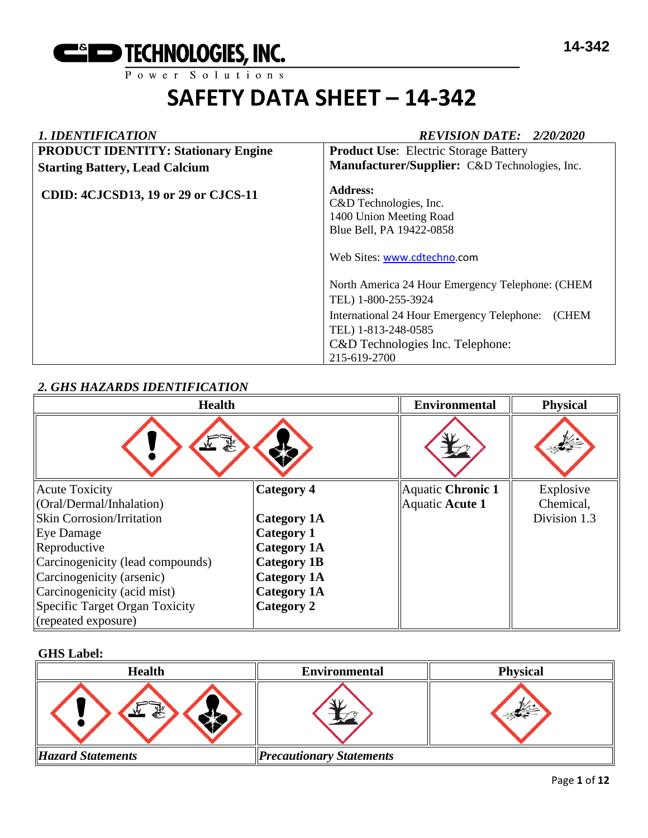

| <b>1. IDENTIFICATION</b>                   | <b>REVISION DATE: 2/20/2020</b>                                                                                                                                                                                 |  |
|--------------------------------------------|-----------------------------------------------------------------------------------------------------------------------------------------------------------------------------------------------------------------|--|
| <b>PRODUCT IDENTITY: Stationary Engine</b> | <b>Product Use:</b> Electric Storage Battery                                                                                                                                                                    |  |
| <b>Starting Battery, Lead Calcium</b>      | Manufacturer/Supplier: C&D Technologies, Inc.                                                                                                                                                                   |  |
| <b>CDID: 4CJCSD13, 19 or 29 or CJCS-11</b> | <b>Address:</b><br>C&D Technologies, Inc.<br>1400 Union Meeting Road<br>Blue Bell, PA 19422-0858<br>Web Sites: www.cdtechno.com                                                                                 |  |
|                                            | North America 24 Hour Emergency Telephone: (CHEM<br>TEL) 1-800-255-3924<br>International 24 Hour Emergency Telephone:<br><b>CHEM</b><br>TEL) 1-813-248-0585<br>C&D Technologies Inc. Telephone:<br>215-619-2700 |  |

# *2. GHS HAZARDS IDENTIFICATION*

| <b>Health</b>                    |                    | <b>Environmental</b> | <b>Physical</b> |
|----------------------------------|--------------------|----------------------|-----------------|
|                                  |                    |                      |                 |
| <b>Acute Toxicity</b>            | <b>Category 4</b>  | Aquatic Chronic 1    | Explosive       |
| (Oral/Dermal/Inhalation)         |                    | Aquatic Acute 1      | Chemical,       |
| <b>Skin Corrosion/Irritation</b> | <b>Category 1A</b> |                      | Division 1.3    |
| Eye Damage                       | <b>Category 1</b>  |                      |                 |
| Reproductive                     | <b>Category 1A</b> |                      |                 |
| Carcinogenicity (lead compounds) | <b>Category 1B</b> |                      |                 |
| Carcinogenicity (arsenic)        | <b>Category 1A</b> |                      |                 |
| Carcinogenicity (acid mist)      | <b>Category 1A</b> |                      |                 |
| Specific Target Organ Toxicity   | Category 2         |                      |                 |
| (repeated exposure)              |                    |                      |                 |

# **GHS Label:**

| <b>Health</b>            | <b>Environmental</b>            | <b>Physical</b> |
|--------------------------|---------------------------------|-----------------|
| 58<br>ਵੰ∻                |                                 |                 |
| <b>Hazard Statements</b> | <b>Precautionary Statements</b> |                 |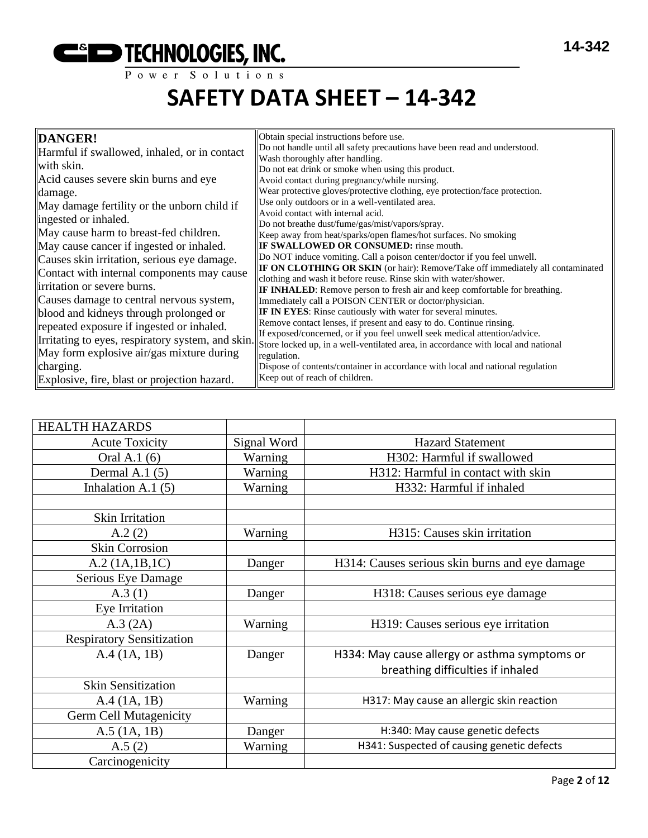

| DANGER!                                                                                        | Obtain special instructions before use.                                                                                                                                                                 |
|------------------------------------------------------------------------------------------------|---------------------------------------------------------------------------------------------------------------------------------------------------------------------------------------------------------|
| Harmful if swallowed, inhaled, or in contact                                                   | Do not handle until all safety precautions have been read and understood.                                                                                                                               |
| with skin.<br>Acid causes severe skin burns and eye                                            | Wash thoroughly after handling.<br>Do not eat drink or smoke when using this product.<br>Avoid contact during pregnancy/while nursing.                                                                  |
| damage.<br>May damage fertility or the unborn child if                                         | Wear protective gloves/protective clothing, eye protection/face protection.<br>Use only outdoors or in a well-ventilated area.<br>Avoid contact with internal acid.                                     |
| ingested or inhaled.                                                                           | Do not breathe dust/fume/gas/mist/vapors/spray.                                                                                                                                                         |
| May cause harm to breast-fed children.                                                         | Keep away from heat/sparks/open flames/hot surfaces. No smoking                                                                                                                                         |
| May cause cancer if ingested or inhaled.                                                       | <b>IF SWALLOWED OR CONSUMED:</b> rinse mouth.                                                                                                                                                           |
| Causes skin irritation, serious eye damage.                                                    | Do NOT induce vomiting. Call a poison center/doctor if you feel unwell.                                                                                                                                 |
| Contact with internal components may cause                                                     | IF ON CLOTHING OR SKIN (or hair): Remove/Take off immediately all contaminated                                                                                                                          |
| irritation or severe burns.<br>Causes damage to central nervous system,                        | clothing and wash it before reuse. Rinse skin with water/shower.<br>IF INHALED: Remove person to fresh air and keep comfortable for breathing.<br>Immediately call a POISON CENTER or doctor/physician. |
| blood and kidneys through prolonged or                                                         | <b>IF IN EYES:</b> Rinse cautiously with water for several minutes.                                                                                                                                     |
| repeated exposure if ingested or inhaled.                                                      | Remove contact lenses, if present and easy to do. Continue rinsing.                                                                                                                                     |
| Irritating to eyes, respiratory system, and skin.<br>May form explosive air/gas mixture during | If exposed/concerned, or if you feel unwell seek medical attention/advice.<br>Store locked up, in a well-ventilated area, in accordance with local and national<br>regulation.                          |
| charging.                                                                                      | Dispose of contents/container in accordance with local and national regulation                                                                                                                          |
| Explosive, fire, blast or projection hazard.                                                   | Keep out of reach of children.                                                                                                                                                                          |

| <b>HEALTH HAZARDS</b>            |             |                                                |
|----------------------------------|-------------|------------------------------------------------|
| <b>Acute Toxicity</b>            | Signal Word | <b>Hazard Statement</b>                        |
| Oral A.1 (6)                     | Warning     | H302: Harmful if swallowed                     |
| Dermal A.1 $(5)$                 | Warning     | H312: Harmful in contact with skin             |
| Inhalation A.1 $(5)$             | Warning     | H332: Harmful if inhaled                       |
|                                  |             |                                                |
| <b>Skin Irritation</b>           |             |                                                |
| A.2(2)                           | Warning     | H315: Causes skin irritation                   |
| <b>Skin Corrosion</b>            |             |                                                |
| A.2 (1A.1B.1C)                   | Danger      | H314: Causes serious skin burns and eye damage |
| Serious Eye Damage               |             |                                                |
| A.3(1)                           | Danger      | H318: Causes serious eye damage                |
| Eye Irritation                   |             |                                                |
| A.3 (2A)                         | Warning     | H319: Causes serious eye irritation            |
| <b>Respiratory Sensitization</b> |             |                                                |
| A.4 (1A, 1B)                     | Danger      | H334: May cause allergy or asthma symptoms or  |
|                                  |             | breathing difficulties if inhaled              |
| <b>Skin Sensitization</b>        |             |                                                |
| A.4 (1A, 1B)                     | Warning     | H317: May cause an allergic skin reaction      |
| <b>Germ Cell Mutagenicity</b>    |             |                                                |
| $A.5$ (1A, 1B)                   | Danger      | H:340: May cause genetic defects               |
| A.5(2)                           | Warning     | H341: Suspected of causing genetic defects     |
| Carcinogenicity                  |             |                                                |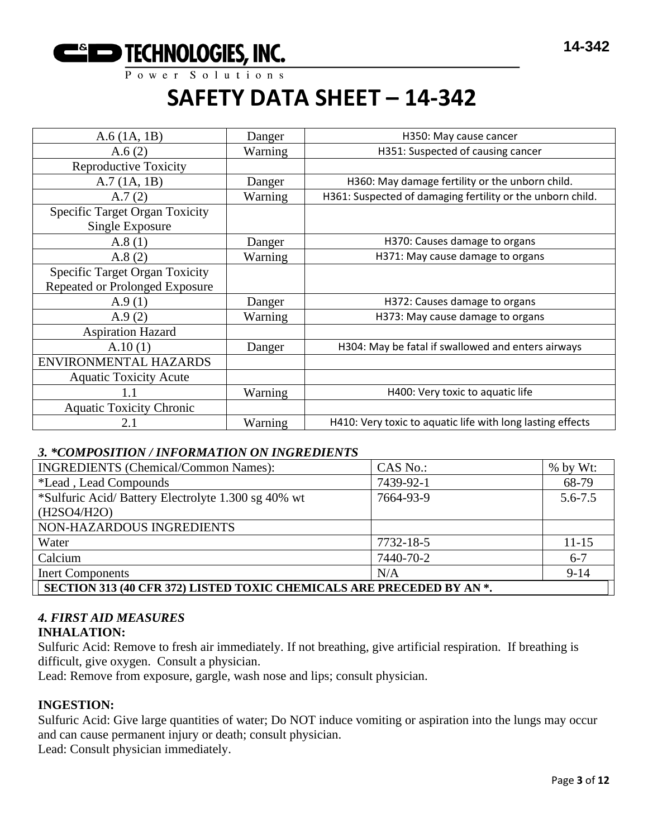

| $A.6$ (1A, 1B)                                           | Danger  | H350: May cause cancer                                     |
|----------------------------------------------------------|---------|------------------------------------------------------------|
| A.6(2)                                                   | Warning | H351: Suspected of causing cancer                          |
| <b>Reproductive Toxicity</b>                             |         |                                                            |
| A.7(1A, 1B)                                              | Danger  | H360: May damage fertility or the unborn child.            |
| A.7(2)                                                   | Warning | H361: Suspected of damaging fertility or the unborn child. |
| <b>Specific Target Organ Toxicity</b><br>Single Exposure |         |                                                            |
| A.8(1)                                                   | Danger  | H370: Causes damage to organs                              |
| A.8(2)                                                   | Warning | H371: May cause damage to organs                           |
| <b>Specific Target Organ Toxicity</b>                    |         |                                                            |
| Repeated or Prolonged Exposure                           |         |                                                            |
| A.9(1)                                                   | Danger  | H372: Causes damage to organs                              |
| A.9 $(2)$                                                | Warning | H373: May cause damage to organs                           |
| <b>Aspiration Hazard</b>                                 |         |                                                            |
| A.10(1)                                                  | Danger  | H304: May be fatal if swallowed and enters airways         |
| ENVIRONMENTAL HAZARDS                                    |         |                                                            |
| <b>Aquatic Toxicity Acute</b>                            |         |                                                            |
| 1.1                                                      | Warning | H400: Very toxic to aquatic life                           |
| <b>Aquatic Toxicity Chronic</b>                          |         |                                                            |
| 2.1                                                      | Warning | H410: Very toxic to aquatic life with long lasting effects |

# *3. \*COMPOSITION / INFORMATION ON INGREDIENTS*

| <b>INGREDIENTS</b> (Chemical/Common Names):                           | CAS No.:  | $%$ by Wt:  |  |
|-----------------------------------------------------------------------|-----------|-------------|--|
| <i>*Lead</i> , Lead Compounds                                         | 7439-92-1 | 68-79       |  |
| *Sulfuric Acid/Battery Electrolyte 1.300 sg 40% wt                    | 7664-93-9 | $5.6 - 7.5$ |  |
| (H2SO4/H2O)                                                           |           |             |  |
| NON-HAZARDOUS INGREDIENTS                                             |           |             |  |
| Water                                                                 | 7732-18-5 | $11 - 15$   |  |
| Calcium                                                               | 7440-70-2 | $6 - 7$     |  |
| <b>Inert Components</b>                                               | N/A       | $9-14$      |  |
| SECTION 313 (40 CFR 372) LISTED TOXIC CHEMICALS ARE PRECEDED BY AN *. |           |             |  |

# *4. FIRST AID MEASURES*

# **INHALATION:**

Sulfuric Acid: Remove to fresh air immediately. If not breathing, give artificial respiration. If breathing is difficult, give oxygen. Consult a physician.

Lead: Remove from exposure, gargle, wash nose and lips; consult physician.

# **INGESTION:**

Sulfuric Acid: Give large quantities of water; Do NOT induce vomiting or aspiration into the lungs may occur and can cause permanent injury or death; consult physician.

Lead: Consult physician immediately.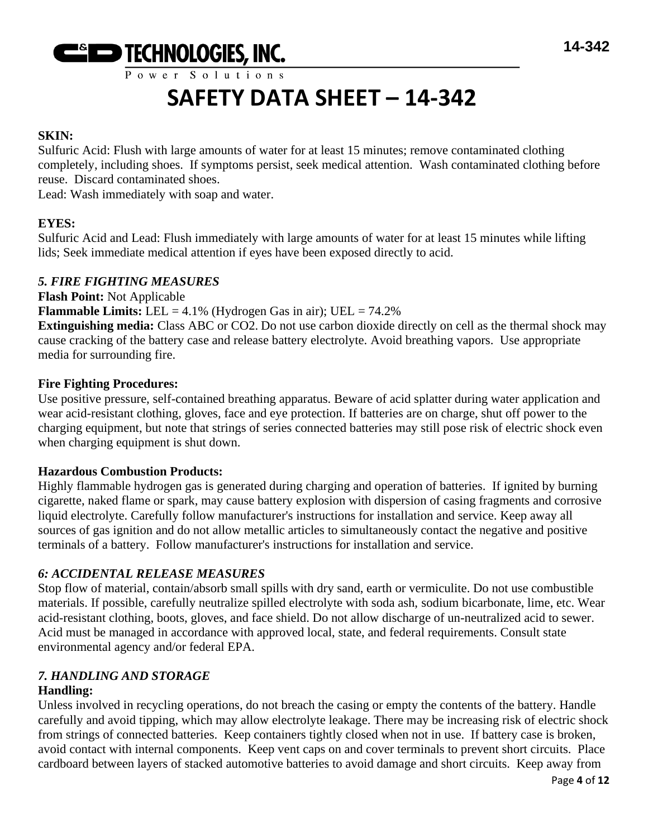

Power Solutions

# **SAFETY DATA SHEET – 14-342**

# **SKIN:**

Sulfuric Acid: Flush with large amounts of water for at least 15 minutes; remove contaminated clothing completely, including shoes. If symptoms persist, seek medical attention. Wash contaminated clothing before reuse. Discard contaminated shoes.

Lead: Wash immediately with soap and water.

# **EYES:**

Sulfuric Acid and Lead: Flush immediately with large amounts of water for at least 15 minutes while lifting lids; Seek immediate medical attention if eyes have been exposed directly to acid.

# *5. FIRE FIGHTING MEASURES*

**Flash Point:** Not Applicable **Flammable Limits:** LEL =  $4.1\%$  (Hydrogen Gas in air); UEL =  $74.2\%$ 

**Extinguishing media:** Class ABC or CO2. Do not use carbon dioxide directly on cell as the thermal shock may cause cracking of the battery case and release battery electrolyte. Avoid breathing vapors. Use appropriate media for surrounding fire.

# **Fire Fighting Procedures:**

Use positive pressure, self-contained breathing apparatus. Beware of acid splatter during water application and wear acid-resistant clothing, gloves, face and eye protection. If batteries are on charge, shut off power to the charging equipment, but note that strings of series connected batteries may still pose risk of electric shock even when charging equipment is shut down.

# **Hazardous Combustion Products:**

Highly flammable hydrogen gas is generated during charging and operation of batteries. If ignited by burning cigarette, naked flame or spark, may cause battery explosion with dispersion of casing fragments and corrosive liquid electrolyte. Carefully follow manufacturer's instructions for installation and service. Keep away all sources of gas ignition and do not allow metallic articles to simultaneously contact the negative and positive terminals of a battery. Follow manufacturer's instructions for installation and service.

# *6: ACCIDENTAL RELEASE MEASURES*

Stop flow of material, contain/absorb small spills with dry sand, earth or vermiculite. Do not use combustible materials. If possible, carefully neutralize spilled electrolyte with soda ash, sodium bicarbonate, lime, etc. Wear acid-resistant clothing, boots, gloves, and face shield. Do not allow discharge of un-neutralized acid to sewer. Acid must be managed in accordance with approved local, state, and federal requirements. Consult state environmental agency and/or federal EPA.

# *7. HANDLING AND STORAGE*

# **Handling:**

Unless involved in recycling operations, do not breach the casing or empty the contents of the battery. Handle carefully and avoid tipping, which may allow electrolyte leakage. There may be increasing risk of electric shock from strings of connected batteries. Keep containers tightly closed when not in use. If battery case is broken, avoid contact with internal components. Keep vent caps on and cover terminals to prevent short circuits. Place cardboard between layers of stacked automotive batteries to avoid damage and short circuits. Keep away from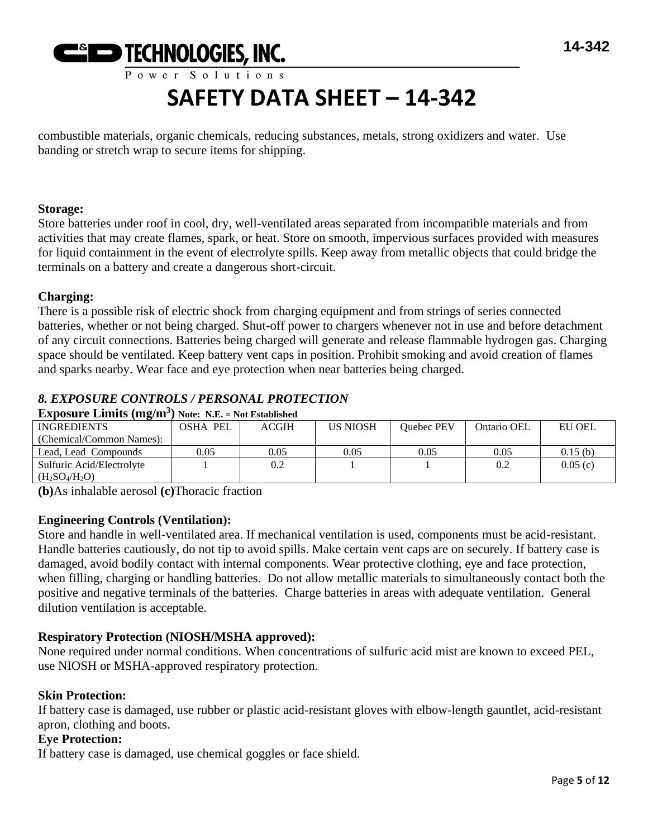

combustible materials, organic chemicals, reducing substances, metals, strong oxidizers and water. Use banding or stretch wrap to secure items for shipping.

#### **Storage:**

Store batteries under roof in cool, dry, well-ventilated areas separated from incompatible materials and from activities that may create flames, spark, or heat. Store on smooth, impervious surfaces provided with measures for liquid containment in the event of electrolyte spills. Keep away from metallic objects that could bridge the terminals on a battery and create a dangerous short-circuit.

# **Charging:**

There is a possible risk of electric shock from charging equipment and from strings of series connected batteries, whether or not being charged. Shut-off power to chargers whenever not in use and before detachment of any circuit connections. Batteries being charged will generate and release flammable hydrogen gas. Charging space should be ventilated. Keep battery vent caps in position. Prohibit smoking and avoid creation of flames and sparks nearby. Wear face and eye protection when near batteries being charged.

# *8. EXPOSURE CONTROLS / PERSONAL PROTECTION*

**Exposure Limits (mg/m<sup>3</sup> ) Note: N.E. = Not Established**

| <b>INGREDIENTS</b>        | <b>OSHA PEL</b> | <b>ACGIH</b> | <b>US NIOSH</b> | Ouebec PEV | Ontario OEL | EU OEL  |
|---------------------------|-----------------|--------------|-----------------|------------|-------------|---------|
| (Chemical/Common Names):  |                 |              |                 |            |             |         |
| Lead. Lead Compounds      | 0.05            | 0.05         | 0.05            | 0.05       | 0.05        | 0.15(b) |
| Sulfuric Acid/Electrolyte |                 | 0.2          |                 |            | 0.2         | 0.05(c) |
| $(H_2SO_4/H_2O)$          |                 |              |                 |            |             |         |

**(b)**As inhalable aerosol **(c)**Thoracic fraction

# **Engineering Controls (Ventilation):**

Store and handle in well-ventilated area. If mechanical ventilation is used, components must be acid-resistant. Handle batteries cautiously, do not tip to avoid spills. Make certain vent caps are on securely. If battery case is damaged, avoid bodily contact with internal components. Wear protective clothing, eye and face protection, when filling, charging or handling batteries. Do not allow metallic materials to simultaneously contact both the positive and negative terminals of the batteries. Charge batteries in areas with adequate ventilation. General dilution ventilation is acceptable.

# **Respiratory Protection (NIOSH/MSHA approved):**

None required under normal conditions. When concentrations of sulfuric acid mist are known to exceed PEL, use NIOSH or MSHA-approved respiratory protection.

# **Skin Protection:**

If battery case is damaged, use rubber or plastic acid-resistant gloves with elbow-length gauntlet, acid-resistant apron, clothing and boots.

# **Eye Protection:**

If battery case is damaged, use chemical goggles or face shield.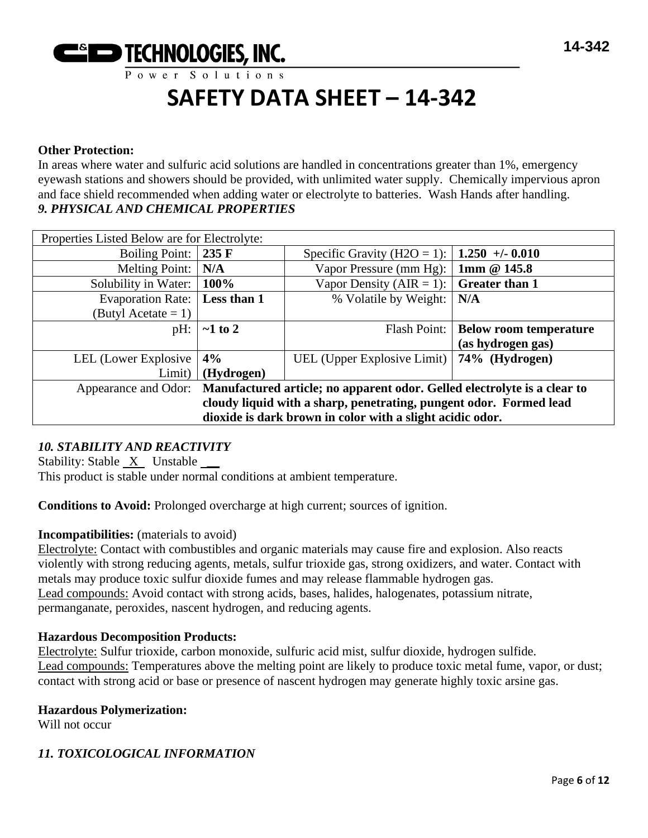

#### **Other Protection:**

In areas where water and sulfuric acid solutions are handled in concentrations greater than 1%, emergency eyewash stations and showers should be provided, with unlimited water supply. Chemically impervious apron and face shield recommended when adding water or electrolyte to batteries. Wash Hands after handling. *9. PHYSICAL AND CHEMICAL PROPERTIES*

| Properties Listed Below are for Electrolyte:                                                     |               |                                                 |                               |
|--------------------------------------------------------------------------------------------------|---------------|-------------------------------------------------|-------------------------------|
| <b>Boiling Point:</b>                                                                            | 235 F         | Specific Gravity (H2O = 1):                     | $1.250 + -0.010$              |
| <b>Melting Point:</b>                                                                            | N/A           | Vapor Pressure (mm Hg):                         | 1mm @ 145.8                   |
| Solubility in Water:                                                                             | 100%          | Vapor Density (AIR = 1): $\vert$ Greater than 1 |                               |
| <b>Evaporation Rate:</b>                                                                         | Less than 1   | % Volatile by Weight:                           | N/A                           |
| (Butyl Acetate $= 1$ )                                                                           |               |                                                 |                               |
| pH:                                                                                              | $\sim$ 1 to 2 | Flash Point:                                    | <b>Below room temperature</b> |
|                                                                                                  |               |                                                 | (as hydrogen gas)             |
| LEL (Lower Explosive                                                                             | 4%            | UEL (Upper Explosive Limit)   74% (Hydrogen)    |                               |
| Limit)                                                                                           | (Hydrogen)    |                                                 |                               |
| Manufactured article; no apparent odor. Gelled electrolyte is a clear to<br>Appearance and Odor: |               |                                                 |                               |
| cloudy liquid with a sharp, penetrating, pungent odor. Formed lead                               |               |                                                 |                               |
| dioxide is dark brown in color with a slight acidic odor.                                        |               |                                                 |                               |

# *10. STABILITY AND REACTIVITY*

Stability: Stable X Unstable \_\_

This product is stable under normal conditions at ambient temperature.

**Conditions to Avoid:** Prolonged overcharge at high current; sources of ignition.

#### **Incompatibilities:** (materials to avoid)

Electrolyte: Contact with combustibles and organic materials may cause fire and explosion. Also reacts violently with strong reducing agents, metals, sulfur trioxide gas, strong oxidizers, and water. Contact with metals may produce toxic sulfur dioxide fumes and may release flammable hydrogen gas. Lead compounds: Avoid contact with strong acids, bases, halides, halogenates, potassium nitrate, permanganate, peroxides, nascent hydrogen, and reducing agents.

# **Hazardous Decomposition Products:**

Electrolyte: Sulfur trioxide, carbon monoxide, sulfuric acid mist, sulfur dioxide, hydrogen sulfide. Lead compounds: Temperatures above the melting point are likely to produce toxic metal fume, vapor, or dust; contact with strong acid or base or presence of nascent hydrogen may generate highly toxic arsine gas.

#### **Hazardous Polymerization:**

Will not occur

# *11. TOXICOLOGICAL INFORMATION*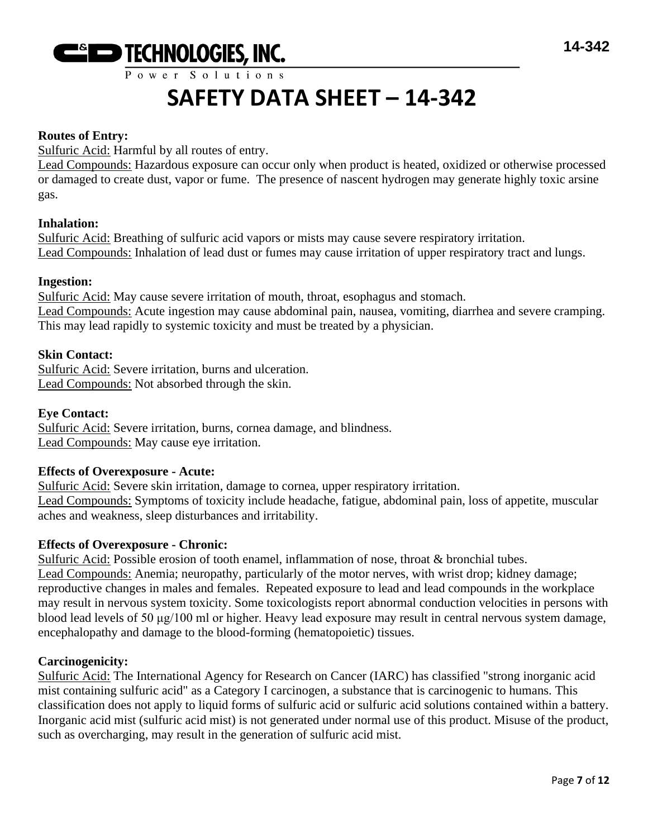

Power Solutions

# **SAFETY DATA SHEET – 14-342**

#### **Routes of Entry:**

Sulfuric Acid: Harmful by all routes of entry.

Lead Compounds: Hazardous exposure can occur only when product is heated, oxidized or otherwise processed or damaged to create dust, vapor or fume. The presence of nascent hydrogen may generate highly toxic arsine gas.

#### **Inhalation:**

Sulfuric Acid: Breathing of sulfuric acid vapors or mists may cause severe respiratory irritation. Lead Compounds: Inhalation of lead dust or fumes may cause irritation of upper respiratory tract and lungs.

#### **Ingestion:**

Sulfuric Acid: May cause severe irritation of mouth, throat, esophagus and stomach. Lead Compounds: Acute ingestion may cause abdominal pain, nausea, vomiting, diarrhea and severe cramping. This may lead rapidly to systemic toxicity and must be treated by a physician.

#### **Skin Contact:**

Sulfuric Acid: Severe irritation, burns and ulceration. Lead Compounds: Not absorbed through the skin.

#### **Eye Contact:**

Sulfuric Acid: Severe irritation, burns, cornea damage, and blindness. Lead Compounds: May cause eye irritation.

#### **Effects of Overexposure - Acute:**

Sulfuric Acid: Severe skin irritation, damage to cornea, upper respiratory irritation. Lead Compounds: Symptoms of toxicity include headache, fatigue, abdominal pain, loss of appetite, muscular aches and weakness, sleep disturbances and irritability.

#### **Effects of Overexposure - Chronic:**

Sulfuric Acid: Possible erosion of tooth enamel, inflammation of nose, throat & bronchial tubes. Lead Compounds: Anemia; neuropathy, particularly of the motor nerves, with wrist drop; kidney damage; reproductive changes in males and females. Repeated exposure to lead and lead compounds in the workplace may result in nervous system toxicity. Some toxicologists report abnormal conduction velocities in persons with blood lead levels of 50 μg/100 ml or higher. Heavy lead exposure may result in central nervous system damage, encephalopathy and damage to the blood-forming (hematopoietic) tissues.

#### **Carcinogenicity:**

Sulfuric Acid: The International Agency for Research on Cancer (IARC) has classified "strong inorganic acid mist containing sulfuric acid" as a Category I carcinogen, a substance that is carcinogenic to humans. This classification does not apply to liquid forms of sulfuric acid or sulfuric acid solutions contained within a battery. Inorganic acid mist (sulfuric acid mist) is not generated under normal use of this product. Misuse of the product, such as overcharging, may result in the generation of sulfuric acid mist.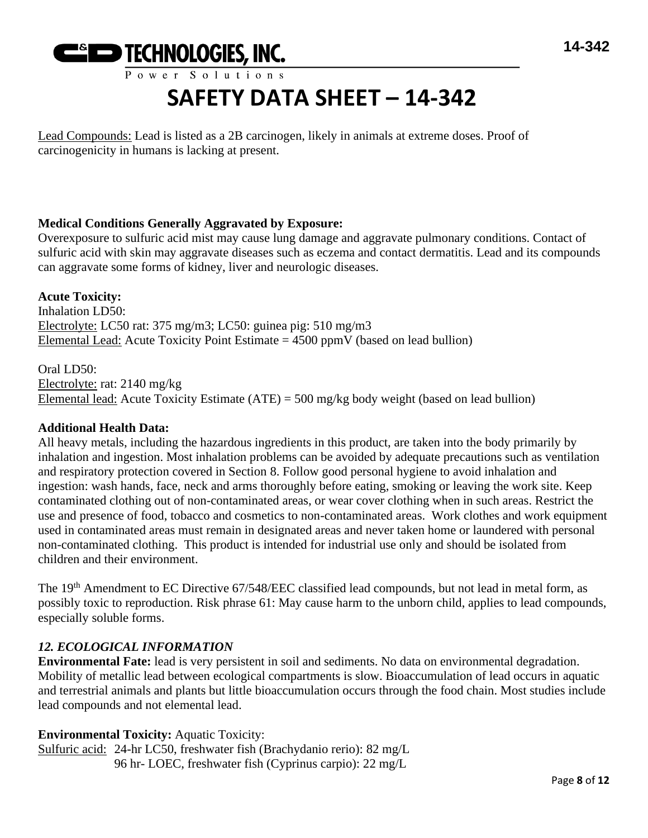

Lead Compounds: Lead is listed as a 2B carcinogen, likely in animals at extreme doses. Proof of carcinogenicity in humans is lacking at present.

# **Medical Conditions Generally Aggravated by Exposure:**

Overexposure to sulfuric acid mist may cause lung damage and aggravate pulmonary conditions. Contact of sulfuric acid with skin may aggravate diseases such as eczema and contact dermatitis. Lead and its compounds can aggravate some forms of kidney, liver and neurologic diseases.

**Acute Toxicity:** Inhalation LD50: Electrolyte: LC50 rat: 375 mg/m3; LC50: guinea pig: 510 mg/m3 Elemental Lead: Acute Toxicity Point Estimate  $= 4500$  ppmV (based on lead bullion)

Oral LD50: Electrolyte: rat: 2140 mg/kg Elemental lead: Acute Toxicity Estimate (ATE) = 500 mg/kg body weight (based on lead bullion)

# **Additional Health Data:**

All heavy metals, including the hazardous ingredients in this product, are taken into the body primarily by inhalation and ingestion. Most inhalation problems can be avoided by adequate precautions such as ventilation and respiratory protection covered in Section 8. Follow good personal hygiene to avoid inhalation and ingestion: wash hands, face, neck and arms thoroughly before eating, smoking or leaving the work site. Keep contaminated clothing out of non-contaminated areas, or wear cover clothing when in such areas. Restrict the use and presence of food, tobacco and cosmetics to non-contaminated areas. Work clothes and work equipment used in contaminated areas must remain in designated areas and never taken home or laundered with personal non-contaminated clothing. This product is intended for industrial use only and should be isolated from children and their environment.

The 19<sup>th</sup> Amendment to EC Directive 67/548/EEC classified lead compounds, but not lead in metal form, as possibly toxic to reproduction. Risk phrase 61: May cause harm to the unborn child, applies to lead compounds, especially soluble forms.

# *12. ECOLOGICAL INFORMATION*

**Environmental Fate:** lead is very persistent in soil and sediments. No data on environmental degradation. Mobility of metallic lead between ecological compartments is slow. Bioaccumulation of lead occurs in aquatic and terrestrial animals and plants but little bioaccumulation occurs through the food chain. Most studies include lead compounds and not elemental lead.

# **Environmental Toxicity:** Aquatic Toxicity:

Sulfuric acid: 24-hr LC50, freshwater fish (Brachydanio rerio): 82 mg/L 96 hr- LOEC, freshwater fish (Cyprinus carpio): 22 mg/L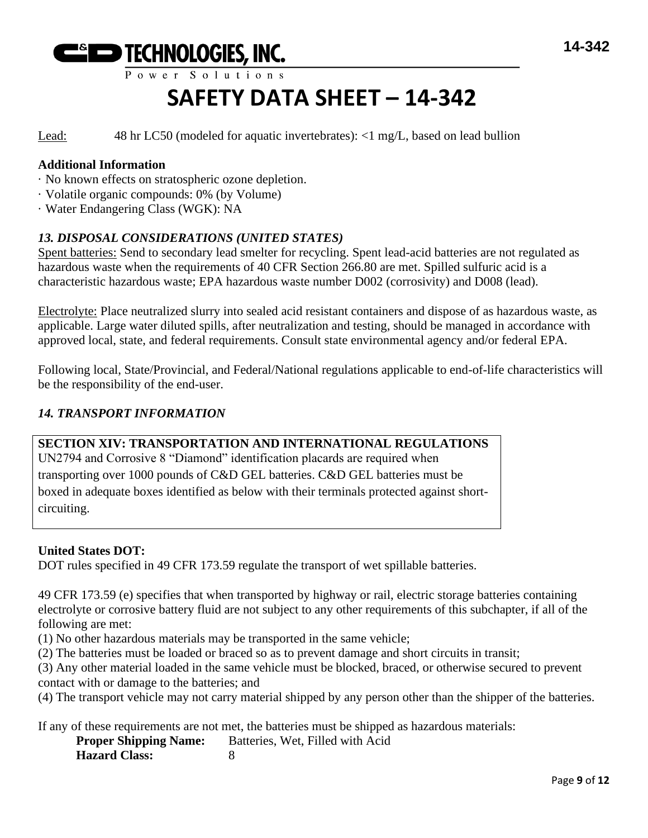

Lead: 48 hr LC50 (modeled for aquatic invertebrates): <1 mg/L, based on lead bullion

#### **Additional Information**

- · No known effects on stratospheric ozone depletion.
- · Volatile organic compounds: 0% (by Volume)

· Water Endangering Class (WGK): NA

# *13. DISPOSAL CONSIDERATIONS (UNITED STATES)*

Spent batteries: Send to secondary lead smelter for recycling. Spent lead-acid batteries are not regulated as hazardous waste when the requirements of 40 CFR Section 266.80 are met. Spilled sulfuric acid is a characteristic hazardous waste; EPA hazardous waste number D002 (corrosivity) and D008 (lead).

Electrolyte: Place neutralized slurry into sealed acid resistant containers and dispose of as hazardous waste, as applicable. Large water diluted spills, after neutralization and testing, should be managed in accordance with approved local, state, and federal requirements. Consult state environmental agency and/or federal EPA.

Following local, State/Provincial, and Federal/National regulations applicable to end-of-life characteristics will be the responsibility of the end-user.

# *14. TRANSPORT INFORMATION*

# **SECTION XIV: TRANSPORTATION AND INTERNATIONAL REGULATIONS**

UN2794 and Corrosive 8 "Diamond" identification placards are required when transporting over 1000 pounds of C&D GEL batteries. C&D GEL batteries must be boxed in adequate boxes identified as below with their terminals protected against shortcircuiting.

#### **United States DOT:**

DOT rules specified in 49 CFR 173.59 regulate the transport of wet spillable batteries.

49 CFR 173.59 (e) specifies that when transported by highway or rail, electric storage batteries containing electrolyte or corrosive battery fluid are not subject to any other requirements of this subchapter, if all of the following are met:

(1) No other hazardous materials may be transported in the same vehicle;

(2) The batteries must be loaded or braced so as to prevent damage and short circuits in transit;

(3) Any other material loaded in the same vehicle must be blocked, braced, or otherwise secured to prevent contact with or damage to the batteries; and

(4) The transport vehicle may not carry material shipped by any person other than the shipper of the batteries.

If any of these requirements are not met, the batteries must be shipped as hazardous materials:

**Proper Shipping Name:** Batteries, Wet, Filled with Acid **Hazard Class:** 8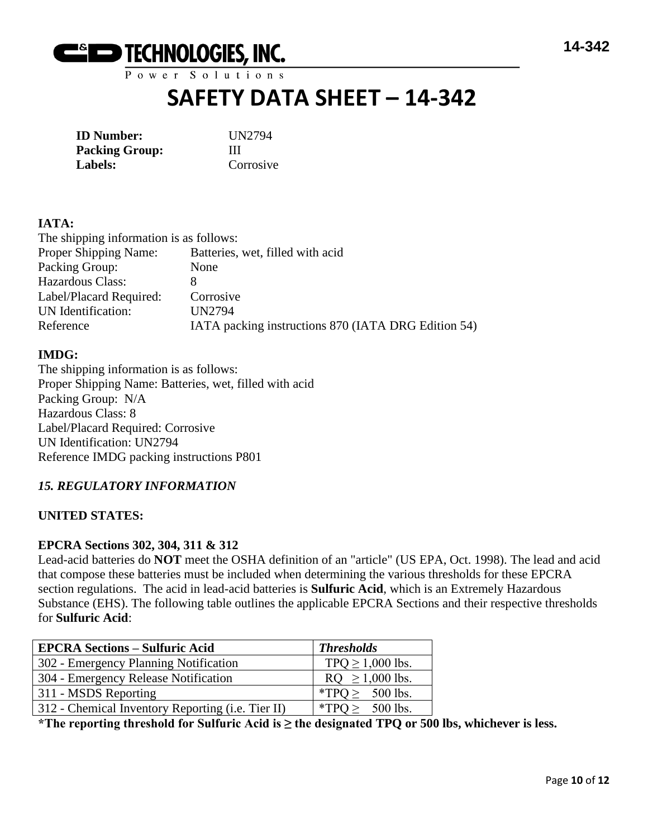

Power Solutions

# **SAFETY DATA SHEET – 14-342**

| <b>ID</b> Number:     | UI |
|-----------------------|----|
| <b>Packing Group:</b> | Ш  |
| Labels:               | Co |

**ID Number:** UN2794 Corrosive

# **IATA:**

The shipping information is as follows: Proper Shipping Name: Batteries, wet, filled with acid Packing Group: None Hazardous Class: 8 Label/Placard Required: Corrosive UN Identification: UN2794 Reference IATA packing instructions 870 (IATA DRG Edition 54)

# **IMDG:**

The shipping information is as follows: Proper Shipping Name: Batteries, wet, filled with acid Packing Group: N/A Hazardous Class: 8 Label/Placard Required: Corrosive UN Identification: UN2794 Reference IMDG packing instructions P801

# *15. REGULATORY INFORMATION*

# **UNITED STATES:**

#### **EPCRA Sections 302, 304, 311 & 312**

Lead-acid batteries do **NOT** meet the OSHA definition of an "article" (US EPA, Oct. 1998). The lead and acid that compose these batteries must be included when determining the various thresholds for these EPCRA section regulations. The acid in lead-acid batteries is **Sulfuric Acid**, which is an Extremely Hazardous Substance (EHS). The following table outlines the applicable EPCRA Sections and their respective thresholds for **Sulfuric Acid**:

| <b>EPCRA Sections – Sulfuric Acid</b>             | <b>Thresholds</b>     |
|---------------------------------------------------|-----------------------|
| 302 - Emergency Planning Notification             | TPQ $\geq$ 1,000 lbs. |
| 304 - Emergency Release Notification              | $RQ \ge 1,000$ lbs.   |
| 311 - MSDS Reporting                              | *TPQ $\geq$ 500 lbs.  |
| 312 - Chemical Inventory Reporting (i.e. Tier II) | *TPQ $\geq$ 500 lbs.  |

**\*The reporting threshold for Sulfuric Acid is ≥ the designated TPQ or 500 lbs, whichever is less.**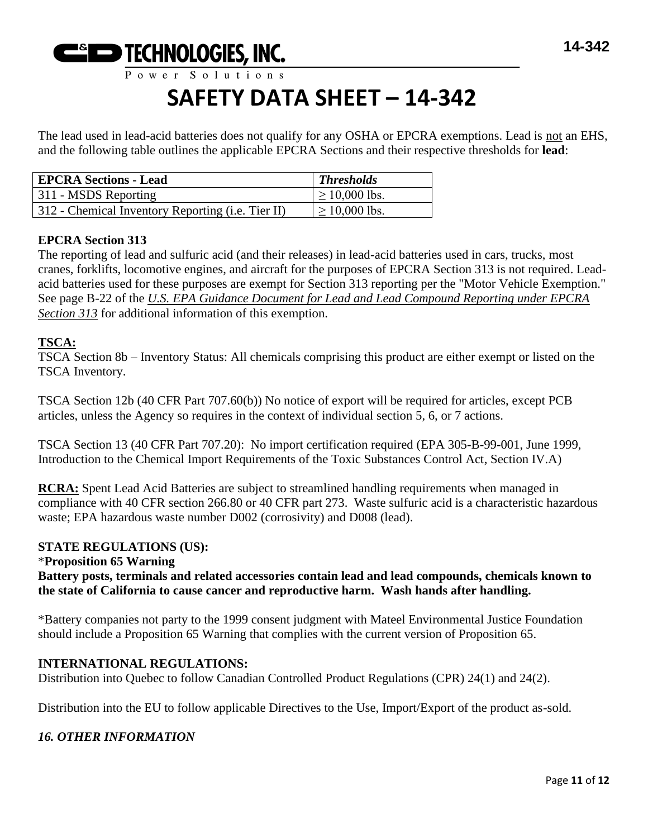

The lead used in lead-acid batteries does not qualify for any OSHA or EPCRA exemptions. Lead is not an EHS, and the following table outlines the applicable EPCRA Sections and their respective thresholds for **lead**:

| <b>EPCRA Sections - Lead</b>                      | <b>Thresholds</b>  |
|---------------------------------------------------|--------------------|
| 311 - MSDS Reporting                              | $\geq 10,000$ lbs. |
| 312 - Chemical Inventory Reporting (i.e. Tier II) | $\geq 10,000$ lbs. |

# **EPCRA Section 313**

The reporting of lead and sulfuric acid (and their releases) in lead-acid batteries used in cars, trucks, most cranes, forklifts, locomotive engines, and aircraft for the purposes of EPCRA Section 313 is not required. Leadacid batteries used for these purposes are exempt for Section 313 reporting per the "Motor Vehicle Exemption." See page B-22 of the *U.S. EPA Guidance Document for Lead and Lead Compound Reporting under EPCRA Section 313* for additional information of this exemption.

# **TSCA:**

TSCA Section 8b – Inventory Status: All chemicals comprising this product are either exempt or listed on the TSCA Inventory.

TSCA Section 12b (40 CFR Part 707.60(b)) No notice of export will be required for articles, except PCB articles, unless the Agency so requires in the context of individual section 5, 6, or 7 actions.

TSCA Section 13 (40 CFR Part 707.20): No import certification required (EPA 305-B-99-001, June 1999, Introduction to the Chemical Import Requirements of the Toxic Substances Control Act, Section IV.A)

**RCRA:** Spent Lead Acid Batteries are subject to streamlined handling requirements when managed in compliance with 40 CFR section 266.80 or 40 CFR part 273. Waste sulfuric acid is a characteristic hazardous waste; EPA hazardous waste number D002 (corrosivity) and D008 (lead).

# **STATE REGULATIONS (US):**

# \***Proposition 65 Warning**

**Battery posts, terminals and related accessories contain lead and lead compounds, chemicals known to the state of California to cause cancer and reproductive harm. Wash hands after handling.**

\*Battery companies not party to the 1999 consent judgment with Mateel Environmental Justice Foundation should include a Proposition 65 Warning that complies with the current version of Proposition 65.

# **INTERNATIONAL REGULATIONS:**

Distribution into Quebec to follow Canadian Controlled Product Regulations (CPR) 24(1) and 24(2).

Distribution into the EU to follow applicable Directives to the Use, Import/Export of the product as-sold.

# *16. OTHER INFORMATION*